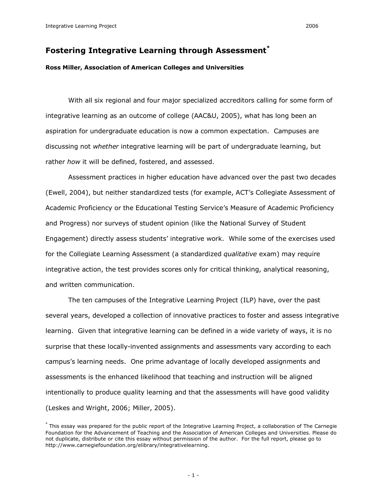# **Fostering Integrative Learning through Assessment \***

### **Ross Miller, Association of American Colleges and Universities**

With all six regional and four major specialized accreditors calling for some form of integrative learning as an outcome of college (AAC&U, 2005), what has long been an aspiration for undergraduate education is now a common expectation. Campuses are discussing not *whether* integrative learning will be part of undergraduate learning, but rather *how* it will be defined, fostered, and assessed.

Assessment practices in higher education have advanced over the past two decades (Ewell, 2004), but neither standardized tests (for example, ACT's Collegiate Assessment of Academic Proficiency or the Educational Testing Service's Measure of Academic Proficiency and Progress) nor surveys of student opinion (like the National Survey of Student Engagement) directly assess students' integrative work. While some of the exercises used for the Collegiate Learning Assessment (a standardized *qualitative* exam) may require integrative action, the test provides scores only for critical thinking, analytical reasoning, and written communication.

The ten campuses of the Integrative Learning Project (ILP) have, over the past several years, developed a collection of innovative practices to foster and assess integrative learning. Given that integrative learning can be defined in a wide variety of ways, it is no surprise that these locally-invented assignments and assessments vary according to each campus's learning needs. One prime advantage of locally developed assignments and assessments is the enhanced likelihood that teaching and instruction will be aligned intentionally to produce quality learning and that the assessments will have good validity (Leskes and Wright, 2006; Miller, 2005).

<sup>\*</sup> This essay was prepared for the public report of the Integrative Learning Project, a collaboration of The Carnegie Foundation for the Advancement of Teaching and the Association of American Colleges and Universities. Please do not duplicate, distribute or cite this essay without permission of the author. For the full report, please go to http://www.carnegiefoundation.org/elibrary/integrativelearning.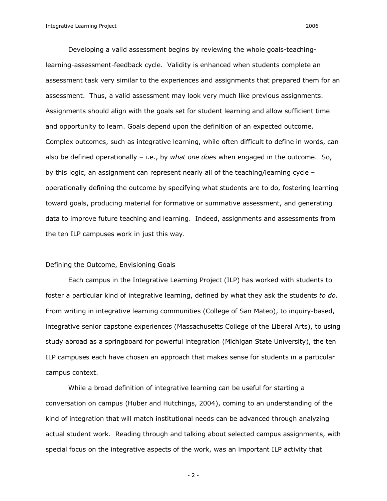Developing a valid assessment begins by reviewing the whole goals-teachinglearning-assessment-feedback cycle. Validity is enhanced when students complete an assessment task very similar to the experiences and assignments that prepared them for an assessment. Thus, a valid assessment may look very much like previous assignments. Assignments should align with the goals set for student learning and allow sufficient time and opportunity to learn. Goals depend upon the definition of an expected outcome. Complex outcomes, such as integrative learning, while often difficult to define in words, can also be defined operationally – i.e., by *what one does* when engaged in the outcome. So, by this logic, an assignment can represent nearly all of the teaching/learning cycle – operationally defining the outcome by specifying what students are to do, fostering learning toward goals, producing material for formative or summative assessment, and generating data to improve future teaching and learning. Indeed, assignments and assessments from the ten ILP campuses work in just this way.

#### Defining the Outcome, Envisioning Goals

Each campus in the Integrative Learning Project (ILP) has worked with students to foster a particular kind of integrative learning, defined by what they ask the students *to do*. From writing in integrative learning communities (College of San Mateo), to inquiry-based, integrative senior capstone experiences (Massachusetts College of the Liberal Arts), to using study abroad as a springboard for powerful integration (Michigan State University), the ten ILP campuses each have chosen an approach that makes sense for students in a particular campus context.

While a broad definition of integrative learning can be useful for starting a conversation on campus (Huber and Hutchings, 2004), coming to an understanding of the kind of integration that will match institutional needs can be advanced through analyzing actual student work. Reading through and talking about selected campus assignments, with special focus on the integrative aspects of the work, was an important ILP activity that

 $-2-$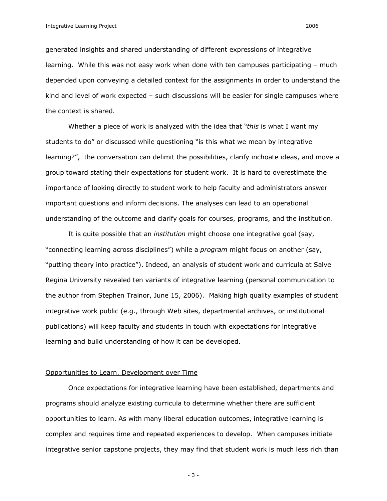generated insights and shared understanding of different expressions of integrative learning. While this was not easy work when done with ten campuses participating – much depended upon conveying a detailed context for the assignments in order to understand the kind and level of work expected – such discussions will be easier for single campuses where the context is shared.

Whether a piece of work is analyzed with the idea that "*this* is what I want my students to do" or discussed while questioning "is this what we mean by integrative learning?", the conversation can delimit the possibilities, clarify inchoate ideas, and move a group toward stating their expectations for student work. It is hard to overestimate the importance of looking directly to student work to help faculty and administrators answer important questions and inform decisions. The analyses can lead to an operational understanding of the outcome and clarify goals for courses, programs, and the institution.

It is quite possible that an *institution* might choose one integrative goal (say, "connecting learning across disciplines") while a *program* might focus on another (say, "putting theory into practice"). Indeed, an analysis of student work and curricula at Salve Regina University revealed ten variants of integrative learning (personal communication to the author from Stephen Trainor, June 15, 2006). Making high quality examples of student integrative work public (e.g., through Web sites, departmental archives, or institutional publications) will keep faculty and students in touch with expectations for integrative learning and build understanding of how it can be developed.

### Opportunities to Learn, Development over Time

Once expectations for integrative learning have been established, departments and programs should analyze existing curricula to determine whether there are sufficient opportunities to learn. As with many liberal education outcomes, integrative learning is complex and requires time and repeated experiences to develop. When campuses initiate integrative senior capstone projects, they may find that student work is much less rich than

 $-3-$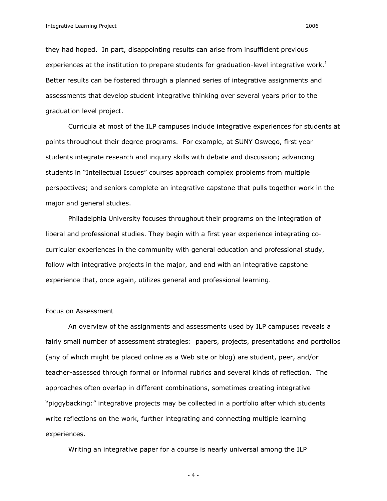they had hoped. In part, disappointing results can arise from insufficient previous experiences at the institution to prepare students for graduation-level integrative work.<sup>1</sup> Better results can be fostered through a planned series of integrative assignments and assessments that develop student integrative thinking over several years prior to the graduation level project.

Curricula at most of the ILP campuses include integrative experiences for students at points throughout their degree programs. For example, at SUNY Oswego, first year students integrate research and inquiry skills with debate and discussion; advancing students in "Intellectual Issues" courses approach complex problems from multiple perspectives; and seniors complete an integrative capstone that pulls together work in the major and general studies.

Philadelphia University focuses throughout their programs on the integration of liberal and professional studies. They begin with a first year experience integrating co curricular experiences in the community with general education and professional study, follow with integrative projects in the major, and end with an integrative capstone experience that, once again, utilizes general and professional learning.

#### Focus on Assessment

An overview of the assignments and assessments used by ILP campuses reveals a fairly small number of assessment strategies: papers, projects, presentations and portfolios (any of which might be placed online as a Web site or blog) are student, peer, and/or teacher-assessed through formal or informal rubrics and several kinds of reflection. The approaches often overlap in different combinations, sometimes creating integrative "piggybacking:" integrative projects may be collected in a portfolio after which students write reflections on the work, further integrating and connecting multiple learning experiences.

Writing an integrative paper for a course is nearly universal among the ILP

 $-4-$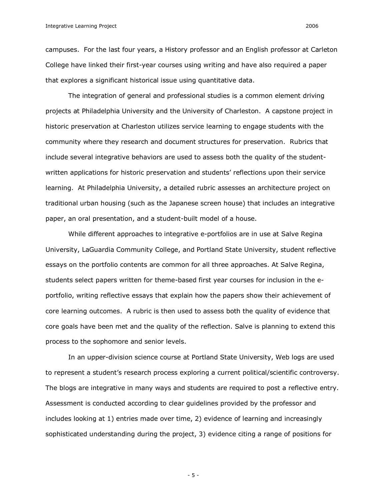campuses. For the last four years, a History professor and an English professor at Carleton College have linked their first-year courses using writing and have also required a paper that explores a significant historical issue using quantitative data.

The integration of general and professional studies is a common element driving projects at Philadelphia University and the University of Charleston. A capstone project in historic preservation at Charleston utilizes service learning to engage students with the community where they research and document structures for preservation. Rubrics that include several integrative behaviors are used to assess both the quality of the student written applications for historic preservation and students' reflections upon their service learning. At Philadelphia University, a detailed rubric assesses an architecture project on traditional urban housing (such as the Japanese screen house) that includes an integrative paper, an oral presentation, and a student-built model of a house.

While different approaches to integrative e-portfolios are in use at Salve Regina University, LaGuardia Community College, and Portland State University, student reflective essays on the portfolio contents are common for all three approaches. At Salve Regina, students select papers written for theme-based first year courses for inclusion in the eportfolio, writing reflective essays that explain how the papers show their achievement of core learning outcomes. A rubric is then used to assess both the quality of evidence that core goals have been met and the quality of the reflection. Salve is planning to extend this process to the sophomore and senior levels.

In an upper-division science course at Portland State University, Web logs are used to represent a student's research process exploring a current political/scientific controversy. The blogs are integrative in many ways and students are required to post a reflective entry. Assessment is conducted according to clear guidelines provided by the professor and includes looking at 1) entries made over time, 2) evidence of learning and increasingly sophisticated understanding during the project, 3) evidence citing a range of positions for

 $-5 -$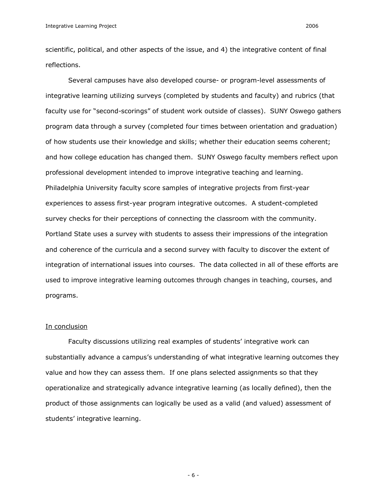scientific, political, and other aspects of the issue, and 4) the integrative content of final reflections.

Several campuses have also developed course- or program-level assessments of integrative learning utilizing surveys (completed by students and faculty) and rubrics (that faculty use for "second-scorings" of student work outside of classes). SUNY Oswego gathers program data through a survey (completed four times between orientation and graduation) of how students use their knowledge and skills; whether their education seems coherent; and how college education has changed them. SUNY Oswego faculty members reflect upon professional development intended to improve integrative teaching and learning. Philadelphia University faculty score samples of integrative projects from first-year experiences to assess first-year program integrative outcomes. A student-completed survey checks for their perceptions of connecting the classroom with the community. Portland State uses a survey with students to assess their impressions of the integration and coherence of the curricula and a second survey with faculty to discover the extent of integration of international issues into courses. The data collected in all of these efforts are used to improve integrative learning outcomes through changes in teaching, courses, and programs.

#### In conclusion

Faculty discussions utilizing real examples of students' integrative work can substantially advance a campus's understanding of what integrative learning outcomes they value and how they can assess them. If one plans selected assignments so that they operationalize and strategically advance integrative learning (as locally defined), then the product of those assignments can logically be used as a valid (and valued) assessment of students' integrative learning.

 $-6-$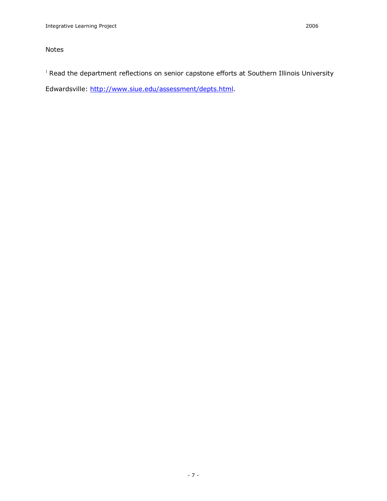## Notes

<sup>1</sup> Read the department reflections on senior capstone efforts at Southern Illinois University

Edwardsville:<http://www.siue.edu/assessment/depts.html>.